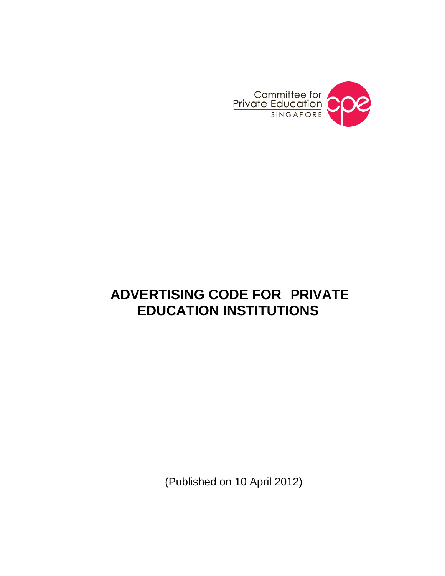

# **ADVERTISING CODE FOR PRIVATE EDUCATION INSTITUTIONS**

(Published on 10 April 2012)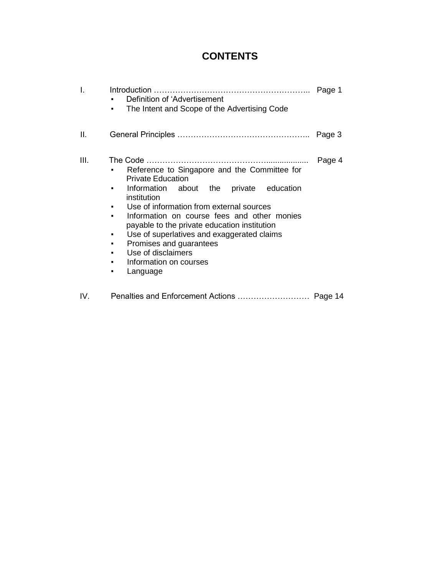# **CONTENTS**

| I.   | Definition of 'Advertisement<br>The Intent and Scope of the Advertising Code<br>٠                                                                                                                                                                                                                                                                                                                                                         | Page 1 |
|------|-------------------------------------------------------------------------------------------------------------------------------------------------------------------------------------------------------------------------------------------------------------------------------------------------------------------------------------------------------------------------------------------------------------------------------------------|--------|
| Ш.   |                                                                                                                                                                                                                                                                                                                                                                                                                                           | Page 3 |
| III. | Reference to Singapore and the Committee for<br><b>Private Education</b><br>Information about the private<br>education<br>institution<br>Use of information from external sources<br>٠<br>Information on course fees and other monies<br>payable to the private education institution<br>Use of superlatives and exaggerated claims<br>٠<br>Promises and guarantees<br>٠<br>Use of disclaimers<br>Information on courses<br>Language<br>٠ | Page 4 |

IV. Penalties and Enforcement Actions ……………………… Page 14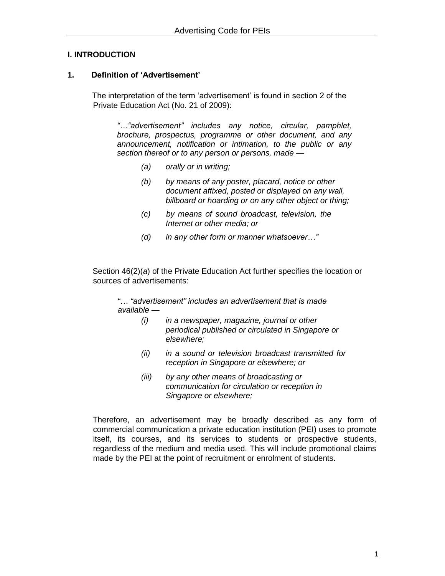#### **I. INTRODUCTION**

#### **1. Definition of 'Advertisement'**

The interpretation of the term 'advertisement' is found in section 2 of the Private Education Act (No. 21 of 2009):

*"…"advertisement" includes any notice, circular, pamphlet, brochure, prospectus, programme or other document, and any announcement, notification or intimation, to the public or any section thereof or to any person or persons, made —*

- *(a) orally or in writing;*
- *(b) by means of any poster, placard, notice or other document affixed, posted or displayed on any wall, billboard or hoarding or on any other object or thing;*
- *(c) by means of sound broadcast, television, the Internet or other media; or*
- *(d) in any other form or manner whatsoever…"*

Section 46(2)(*a*) of the Private Education Act further specifies the location or sources of advertisements:

*"… "advertisement" includes an advertisement that is made available —*

- *(i) in a newspaper, magazine, journal or other periodical published or circulated in Singapore or elsewhere;*
- *(ii) in a sound or television broadcast transmitted for reception in Singapore or elsewhere; or*
- *(iii) by any other means of broadcasting or communication for circulation or reception in Singapore or elsewhere;*

Therefore, an advertisement may be broadly described as any form of commercial communication a private education institution (PEI) uses to promote itself, its courses, and its services to students or prospective students, regardless of the medium and media used. This will include promotional claims made by the PEI at the point of recruitment or enrolment of students.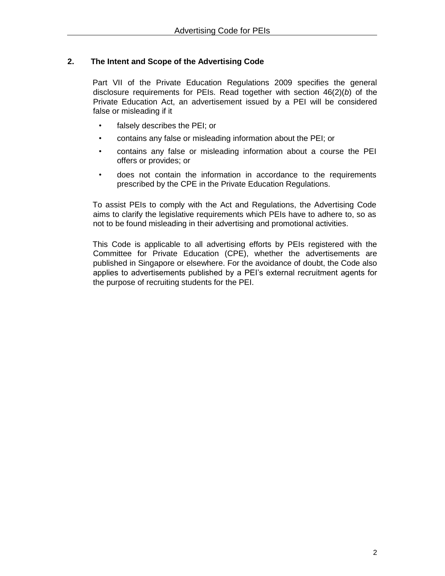# **2. The Intent and Scope of the Advertising Code**

Part VII of the Private Education Regulations 2009 specifies the general disclosure requirements for PEIs. Read together with section 46(2)(*b*) of the Private Education Act, an advertisement issued by a PEI will be considered false or misleading if it

- falsely describes the PEI; or
- contains any false or misleading information about the PEI; or
- contains any false or misleading information about a course the PEI offers or provides; or
- does not contain the information in accordance to the requirements prescribed by the CPE in the Private Education Regulations.

To assist PEIs to comply with the Act and Regulations, the Advertising Code aims to clarify the legislative requirements which PEIs have to adhere to, so as not to be found misleading in their advertising and promotional activities.

This Code is applicable to all advertising efforts by PEIs registered with the Committee for Private Education (CPE), whether the advertisements are published in Singapore or elsewhere. For the avoidance of doubt, the Code also applies to advertisements published by a PEI's external recruitment agents for the purpose of recruiting students for the PEI.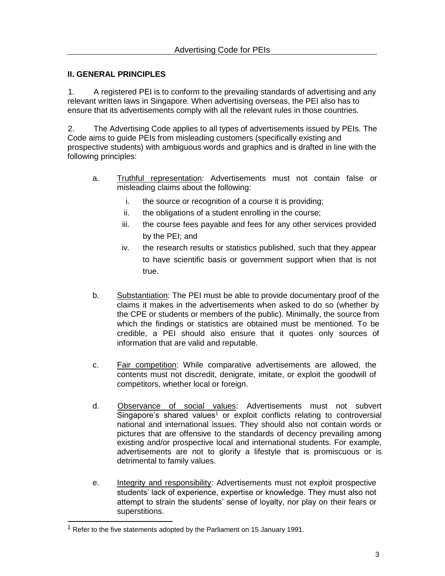# **II. GENERAL PRINCIPLES**

1. A registered PEI is to conform to the prevailing standards of advertising and any relevant written laws in Singapore. When advertising overseas, the PEI also has to ensure that its advertisements comply with all the relevant rules in those countries.

2. The Advertising Code applies to all types of advertisements issued by PEIs. The Code aims to guide PEIs from misleading customers (specifically existing and prospective students) with ambiguous words and graphics and is drafted in line with the following principles:

- a. Truthful representation: Advertisements must not contain false or misleading claims about the following:
	- i. the source or recognition of a course it is providing;
	- ii. the obligations of a student enrolling in the course;
	- iii. the course fees payable and fees for any other services provided by the PEI; and
	- iv. the research results or statistics published, such that they appear to have scientific basis or government support when that is not true.
- b. Substantiation: The PEI must be able to provide documentary proof of the claims it makes in the advertisements when asked to do so (whether by the CPE or students or members of the public). Minimally, the source from which the findings or statistics are obtained must be mentioned. To be credible, a PEI should also ensure that it quotes only sources of information that are valid and reputable.
- c. Fair competition: While comparative advertisements are allowed, the contents must not discredit, denigrate, imitate, or exploit the goodwill of competitors, whether local or foreign.
- d. Observance of social values: Advertisements must not subvert Singapore's shared values<sup>1</sup> or exploit conflicts relating to controversial national and international issues. They should also not contain words or pictures that are offensive to the standards of decency prevailing among existing and/or prospective local and international students. For example, advertisements are not to glorify a lifestyle that is promiscuous or is detrimental to family values.
- e. Integrity and responsibility: Advertisements must not exploit prospective students' lack of experience, expertise or knowledge. They must also not attempt to strain the students' sense of loyalty, nor play on their fears or superstitions.

 $1$  Refer to the five statements adopted by the Parliament on 15 January 1991.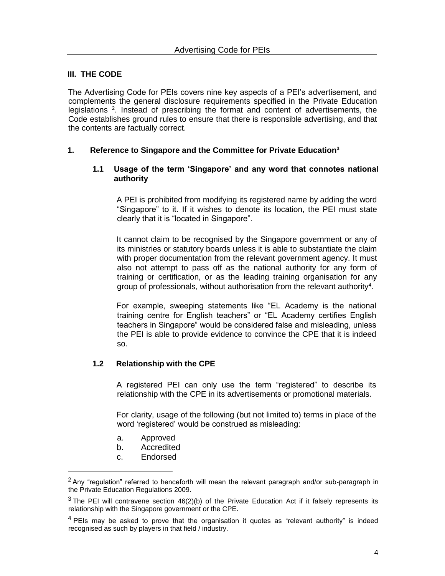#### **III. THE CODE**

The Advertising Code for PEIs covers nine key aspects of a PEI's advertisement, and complements the general disclosure requirements specified in the Private Education legislations <sup>2</sup>. Instead of prescribing the format and content of advertisements, the Code establishes ground rules to ensure that there is responsible advertising, and that the contents are factually correct.

#### **1. Reference to Singapore and the Committee for Private Education<sup>3</sup>**

#### **1.1 Usage of the term 'Singapore' and any word that connotes national authority**

A PEI is prohibited from modifying its registered name by adding the word "Singapore" to it. If it wishes to denote its location, the PEI must state clearly that it is "located in Singapore".

It cannot claim to be recognised by the Singapore government or any of its ministries or statutory boards unless it is able to substantiate the claim with proper documentation from the relevant government agency. It must also not attempt to pass off as the national authority for any form of training or certification, or as the leading training organisation for any group of professionals, without authorisation from the relevant authority<sup>4</sup>.

For example, sweeping statements like "EL Academy is the national training centre for English teachers" or "EL Academy certifies English teachers in Singapore" would be considered false and misleading, unless the PEI is able to provide evidence to convince the CPE that it is indeed so.

#### **1.2 Relationship with the CPE**

A registered PEI can only use the term "registered" to describe its relationship with the CPE in its advertisements or promotional materials.

For clarity, usage of the following (but not limited to) terms in place of the word 'registered' would be construed as misleading:

- a. Approved
- b. Accredited
- c. Endorsed

 $2$  Anv "regulation" referred to henceforth will mean the relevant paragraph and/or sub-paragraph in the Private Education Regulations 2009.

 $3$  The PEI will contravene section 46(2)(b) of the Private Education Act if it falsely represents its relationship with the Singapore government or the CPE.

 $4$  PEIs may be asked to prove that the organisation it quotes as "relevant authority" is indeed recognised as such by players in that field / industry.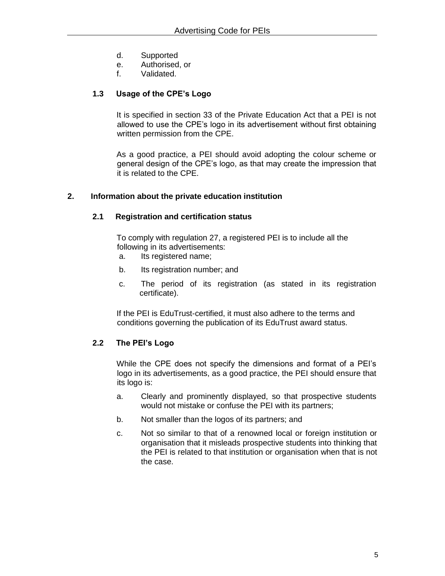- d. Supported
- e. Authorised, or
- f. Validated.

#### **1.3 Usage of the CPE's Logo**

It is specified in section 33 of the Private Education Act that a PEI is not allowed to use the CPE's logo in its advertisement without first obtaining written permission from the CPE.

As a good practice, a PEI should avoid adopting the colour scheme or general design of the CPE's logo, as that may create the impression that it is related to the CPE.

#### **2. Information about the private education institution**

#### **2.1 Registration and certification status**

To comply with regulation 27, a registered PEI is to include all the following in its advertisements:

- a. Its registered name;
- b. Its registration number; and
- c. The period of its registration (as stated in its registration certificate).

If the PEI is EduTrust-certified, it must also adhere to the terms and conditions governing the publication of its EduTrust award status.

#### **2.2 The PEI's Logo**

While the CPE does not specify the dimensions and format of a PEI's logo in its advertisements, as a good practice, the PEI should ensure that its logo is:

- a. Clearly and prominently displayed, so that prospective students would not mistake or confuse the PEI with its partners;
- b. Not smaller than the logos of its partners; and
- c. Not so similar to that of a renowned local or foreign institution or organisation that it misleads prospective students into thinking that the PEI is related to that institution or organisation when that is not the case.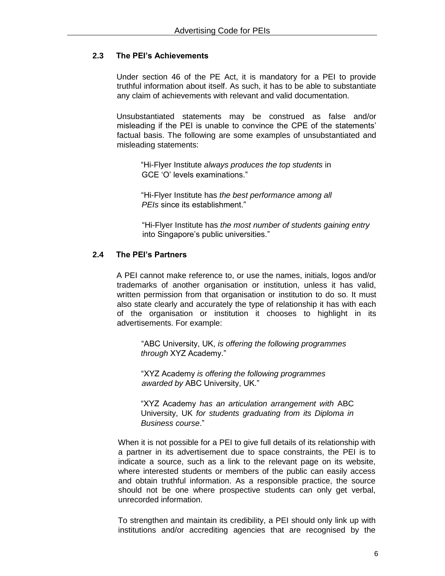# **2.3 The PEI's Achievements**

Under section 46 of the PE Act, it is mandatory for a PEI to provide truthful information about itself. As such, it has to be able to substantiate any claim of achievements with relevant and valid documentation.

Unsubstantiated statements may be construed as false and/or misleading if the PEI is unable to convince the CPE of the statements' factual basis. The following are some examples of unsubstantiated and misleading statements:

"Hi-Flyer Institute *always produces the top students* in GCE 'O' levels examinations."

"Hi-Flyer Institute has *the best performance among all PEIs* since its establishment."

"Hi-Flyer Institute has *the most number of students gaining entry*  into Singapore's public universities."

#### **2.4 The PEI's Partners**

A PEI cannot make reference to, or use the names, initials, logos and/or trademarks of another organisation or institution, unless it has valid, written permission from that organisation or institution to do so. It must also state clearly and accurately the type of relationship it has with each of the organisation or institution it chooses to highlight in its advertisements. For example:

"ABC University, UK, *is offering the following programmes through* XYZ Academy."

"XYZ Academy *is offering the following programmes awarded by* ABC University, UK."

"XYZ Academy *has an articulation arrangement with* ABC University, UK *for students graduating from its Diploma in Business course*."

When it is not possible for a PEI to give full details of its relationship with a partner in its advertisement due to space constraints, the PEI is to indicate a source, such as a link to the relevant page on its website, where interested students or members of the public can easily access and obtain truthful information. As a responsible practice, the source should not be one where prospective students can only get verbal, unrecorded information.

To strengthen and maintain its credibility, a PEI should only link up with institutions and/or accrediting agencies that are recognised by the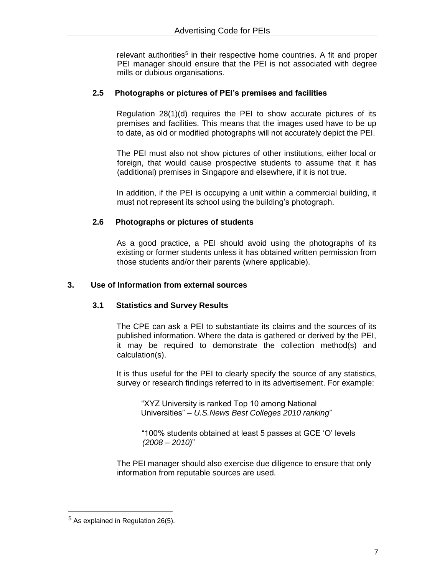relevant authorities<sup>5</sup> in their respective home countries. A fit and proper PEI manager should ensure that the PEI is not associated with degree mills or dubious organisations.

# **2.5 Photographs or pictures of PEI's premises and facilities**

Regulation 28(1)(d) requires the PEI to show accurate pictures of its premises and facilities. This means that the images used have to be up to date, as old or modified photographs will not accurately depict the PEI.

The PEI must also not show pictures of other institutions, either local or foreign, that would cause prospective students to assume that it has (additional) premises in Singapore and elsewhere, if it is not true.

In addition, if the PEI is occupying a unit within a commercial building, it must not represent its school using the building's photograph.

# **2.6 Photographs or pictures of students**

As a good practice, a PEI should avoid using the photographs of its existing or former students unless it has obtained written permission from those students and/or their parents (where applicable).

# **3. Use of Information from external sources**

#### **3.1 Statistics and Survey Results**

The CPE can ask a PEI to substantiate its claims and the sources of its published information. Where the data is gathered or derived by the PEI, it may be required to demonstrate the collection method(s) and calculation(s).

It is thus useful for the PEI to clearly specify the source of any statistics, survey or research findings referred to in its advertisement. For example:

"XYZ University is ranked Top 10 among National Universities" – *U.S.News Best Colleges 2010 ranking*"

"100% students obtained at least 5 passes at GCE 'O' levels *(2008 – 2010)*"

The PEI manager should also exercise due diligence to ensure that only information from reputable sources are used.

 $5$  As explained in Regulation 26(5).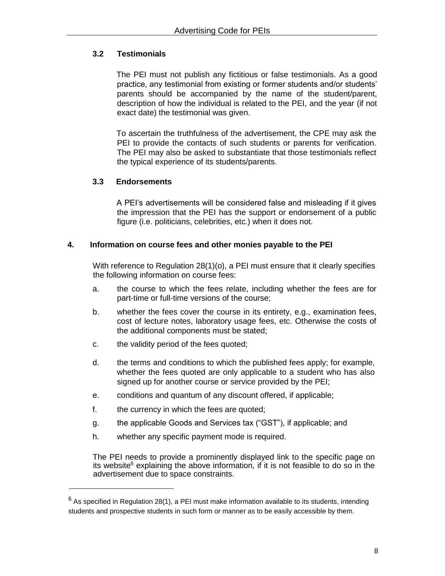# **3.2 Testimonials**

The PEI must not publish any fictitious or false testimonials. As a good practice, any testimonial from existing or former students and/or students' parents should be accompanied by the name of the student/parent, description of how the individual is related to the PEI, and the year (if not exact date) the testimonial was given.

To ascertain the truthfulness of the advertisement, the CPE may ask the PEI to provide the contacts of such students or parents for verification. The PEI may also be asked to substantiate that those testimonials reflect the typical experience of its students/parents.

# **3.3 Endorsements**

A PEI's advertisements will be considered false and misleading if it gives the impression that the PEI has the support or endorsement of a public figure (i.e. politicians, celebrities, etc.) when it does not.

#### **4. Information on course fees and other monies payable to the PEI**

With reference to Regulation 28(1)(o), a PEI must ensure that it clearly specifies the following information on course fees:

- a. the course to which the fees relate, including whether the fees are for part-time or full-time versions of the course;
- b. whether the fees cover the course in its entirety, e.g., examination fees, cost of lecture notes, laboratory usage fees, etc. Otherwise the costs of the additional components must be stated;
- c. the validity period of the fees quoted;
- d. the terms and conditions to which the published fees apply; for example, whether the fees quoted are only applicable to a student who has also signed up for another course or service provided by the PEI;
- e. conditions and quantum of any discount offered, if applicable;
- f. the currency in which the fees are quoted;
- g. the applicable Goods and Services tax ("GST"), if applicable; and
- h. whether any specific payment mode is required.

The PEI needs to provide a prominently displayed link to the specific page on its website<sup>6</sup> explaining the above information, if it is not feasible to do so in the advertisement due to space constraints.

 $6$  As specified in Regulation 28(1), a PEI must make information available to its students, intending students and prospective students in such form or manner as to be easily accessible by them.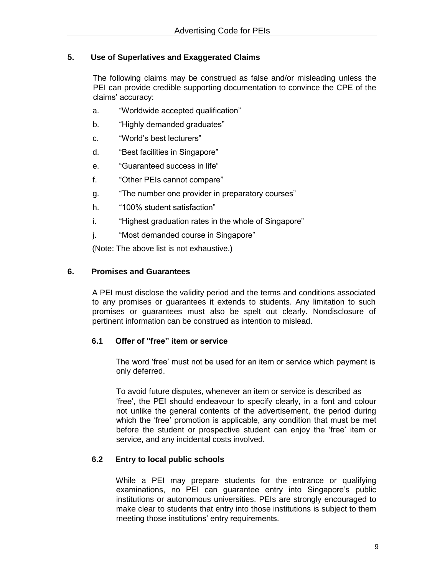#### **5. Use of Superlatives and Exaggerated Claims**

The following claims may be construed as false and/or misleading unless the PEI can provide credible supporting documentation to convince the CPE of the claims' accuracy:

- a. "Worldwide accepted qualification"
- b. "Highly demanded graduates"
- c. "World's best lecturers"
- d. "Best facilities in Singapore"
- e. "Guaranteed success in life"
- f. "Other PEIs cannot compare"
- g. "The number one provider in preparatory courses"
- h. "100% student satisfaction"
- i. "Highest graduation rates in the whole of Singapore"
- j. "Most demanded course in Singapore"

(Note: The above list is not exhaustive.)

#### **6. Promises and Guarantees**

A PEI must disclose the validity period and the terms and conditions associated to any promises or guarantees it extends to students. Any limitation to such promises or guarantees must also be spelt out clearly. Nondisclosure of pertinent information can be construed as intention to mislead.

#### **6.1 Offer of "free" item or service**

The word 'free' must not be used for an item or service which payment is only deferred.

To avoid future disputes, whenever an item or service is described as 'free', the PEI should endeavour to specify clearly, in a font and colour not unlike the general contents of the advertisement, the period during which the 'free' promotion is applicable, any condition that must be met before the student or prospective student can enjoy the 'free' item or service, and any incidental costs involved.

#### **6.2 Entry to local public schools**

While a PEI may prepare students for the entrance or qualifying examinations, no PEI can guarantee entry into Singapore's public institutions or autonomous universities. PEIs are strongly encouraged to make clear to students that entry into those institutions is subject to them meeting those institutions' entry requirements.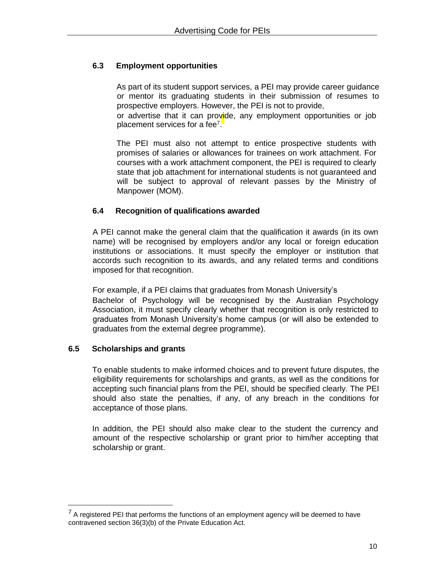# **6.3 Employment opportunities**

As part of its student support services, a PEI may provide career guidance or mentor its graduating students in their submission of resumes to prospective employers. However, the PEI is not to provide,

or advertise that it can provide, any employment opportunities or job placement services for a fee<sup>7</sup>.

The PEI must also not attempt to entice prospective students with promises of salaries or allowances for trainees on work attachment. For courses with a work attachment component, the PEI is required to clearly state that job attachment for international students is not guaranteed and will be subject to approval of relevant passes by the Ministry of Manpower (MOM).

#### **6.4 Recognition of qualifications awarded**

A PEI cannot make the general claim that the qualification it awards (in its own name) will be recognised by employers and/or any local or foreign education institutions or associations. It must specify the employer or institution that accords such recognition to its awards, and any related terms and conditions imposed for that recognition.

For example, if a PEI claims that graduates from Monash University's Bachelor of Psychology will be recognised by the Australian Psychology Association, it must specify clearly whether that recognition is only restricted to graduates from Monash University's home campus (or will also be extended to graduates from the external degree programme).

#### **6.5 Scholarships and grants**

To enable students to make informed choices and to prevent future disputes, the eligibility requirements for scholarships and grants, as well as the conditions for accepting such financial plans from the PEI, should be specified clearly. The PEI should also state the penalties, if any, of any breach in the conditions for acceptance of those plans.

In addition, the PEI should also make clear to the student the currency and amount of the respective scholarship or grant prior to him/her accepting that scholarship or grant.

 $<sup>7</sup>$  A registered PEI that performs the functions of an employment agency will be deemed to have</sup> contravened section 36(3)(b) of the Private Education Act.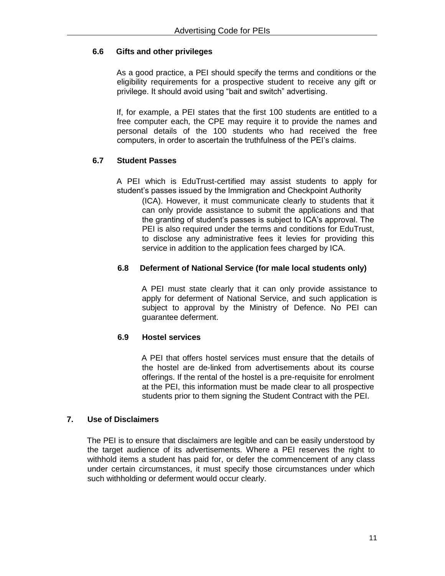# **6.6 Gifts and other privileges**

As a good practice, a PEI should specify the terms and conditions or the eligibility requirements for a prospective student to receive any gift or privilege. It should avoid using "bait and switch" advertising.

If, for example, a PEI states that the first 100 students are entitled to a free computer each, the CPE may require it to provide the names and personal details of the 100 students who had received the free computers, in order to ascertain the truthfulness of the PEI's claims.

# **6.7 Student Passes**

A PEI which is EduTrust-certified may assist students to apply for student's passes issued by the Immigration and Checkpoint Authority

(ICA). However, it must communicate clearly to students that it can only provide assistance to submit the applications and that the granting of student's passes is subject to ICA's approval. The PEI is also required under the terms and conditions for EduTrust, to disclose any administrative fees it levies for providing this service in addition to the application fees charged by ICA.

#### **6.8 Deferment of National Service (for male local students only)**

A PEI must state clearly that it can only provide assistance to apply for deferment of National Service, and such application is subject to approval by the Ministry of Defence. No PEI can guarantee deferment.

# **6.9 Hostel services**

A PEI that offers hostel services must ensure that the details of the hostel are de-linked from advertisements about its course offerings. If the rental of the hostel is a pre-requisite for enrolment at the PEI, this information must be made clear to all prospective students prior to them signing the Student Contract with the PEI.

#### **7. Use of Disclaimers**

The PEI is to ensure that disclaimers are legible and can be easily understood by the target audience of its advertisements. Where a PEI reserves the right to withhold items a student has paid for, or defer the commencement of any class under certain circumstances, it must specify those circumstances under which such withholding or deferment would occur clearly.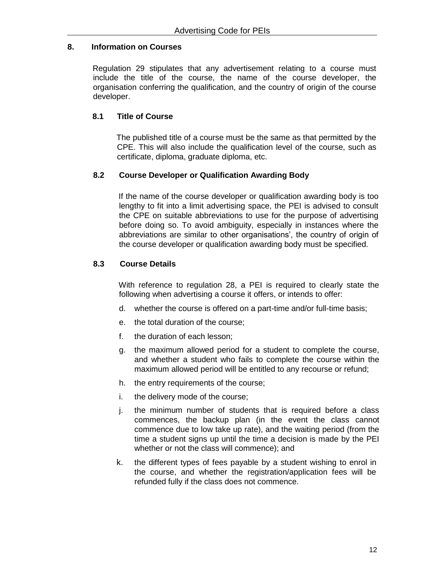#### **8. Information on Courses**

Regulation 29 stipulates that any advertisement relating to a course must include the title of the course, the name of the course developer, the organisation conferring the qualification, and the country of origin of the course developer.

# **8.1 Title of Course**

The published title of a course must be the same as that permitted by the CPE. This will also include the qualification level of the course, such as certificate, diploma, graduate diploma, etc.

# **8.2 Course Developer or Qualification Awarding Body**

If the name of the course developer or qualification awarding body is too lengthy to fit into a limit advertising space, the PEI is advised to consult the CPE on suitable abbreviations to use for the purpose of advertising before doing so. To avoid ambiguity, especially in instances where the abbreviations are similar to other organisations', the country of origin of the course developer or qualification awarding body must be specified.

# **8.3 Course Details**

With reference to regulation 28, a PEI is required to clearly state the following when advertising a course it offers, or intends to offer:

- d. whether the course is offered on a part-time and/or full-time basis;
- e. the total duration of the course;
- f. the duration of each lesson;
- g. the maximum allowed period for a student to complete the course, and whether a student who fails to complete the course within the maximum allowed period will be entitled to any recourse or refund;
- h. the entry requirements of the course;
- i. the delivery mode of the course;
- j. the minimum number of students that is required before a class commences, the backup plan (in the event the class cannot commence due to low take up rate), and the waiting period (from the time a student signs up until the time a decision is made by the PEI whether or not the class will commence); and
- k. the different types of fees payable by a student wishing to enrol in the course, and whether the registration/application fees will be refunded fully if the class does not commence.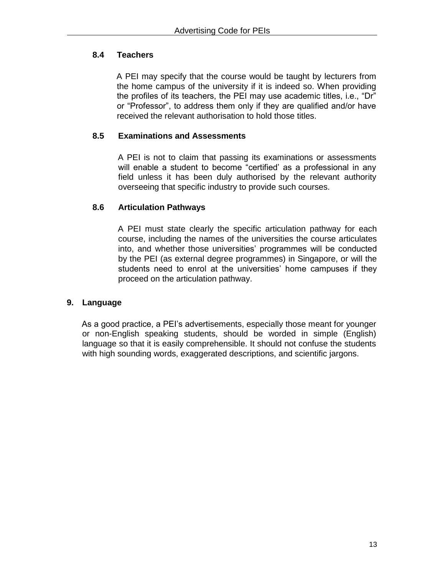# **8.4 Teachers**

A PEI may specify that the course would be taught by lecturers from the home campus of the university if it is indeed so. When providing the profiles of its teachers, the PEI may use academic titles, i.e., "Dr" or "Professor", to address them only if they are qualified and/or have received the relevant authorisation to hold those titles.

# **8.5 Examinations and Assessments**

A PEI is not to claim that passing its examinations or assessments will enable a student to become "certified' as a professional in any field unless it has been duly authorised by the relevant authority overseeing that specific industry to provide such courses.

# **8.6 Articulation Pathways**

A PEI must state clearly the specific articulation pathway for each course, including the names of the universities the course articulates into, and whether those universities' programmes will be conducted by the PEI (as external degree programmes) in Singapore, or will the students need to enrol at the universities' home campuses if they proceed on the articulation pathway.

#### **9. Language**

As a good practice, a PEI's advertisements, especially those meant for younger or non-English speaking students, should be worded in simple (English) language so that it is easily comprehensible. It should not confuse the students with high sounding words, exaggerated descriptions, and scientific jargons.